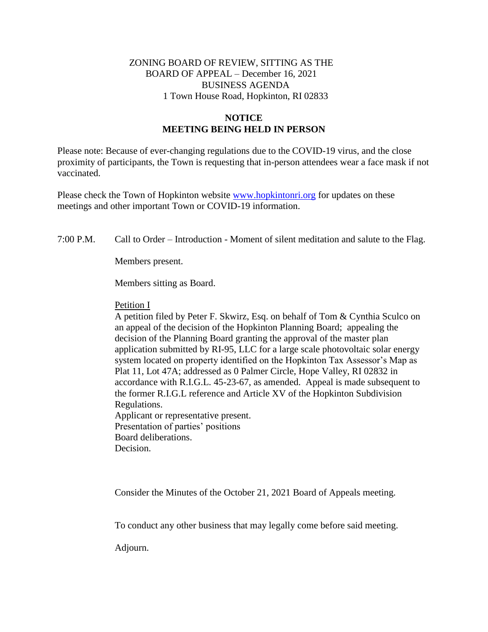## ZONING BOARD OF REVIEW, SITTING AS THE BOARD OF APPEAL – December 16, 2021 BUSINESS AGENDA 1 Town House Road, Hopkinton, RI 02833

## **NOTICE MEETING BEING HELD IN PERSON**

Please note: Because of ever-changing regulations due to the COVID-19 virus, and the close proximity of participants, the Town is requesting that in-person attendees wear a face mask if not vaccinated.

Please check the Town of Hopkinton website [www.hopkintonri.org](http://www.hopkintonri.org/) for updates on these meetings and other important Town or COVID-19 information.

7:00 P.M. Call to Order – Introduction - Moment of silent meditation and salute to the Flag.

Members present.

Members sitting as Board.

## Petition I

A petition filed by Peter F. Skwirz, Esq. on behalf of Tom & Cynthia Sculco on an appeal of the decision of the Hopkinton Planning Board; appealing the decision of the Planning Board granting the approval of the master plan application submitted by RI-95, LLC for a large scale photovoltaic solar energy system located on property identified on the Hopkinton Tax Assessor's Map as Plat 11, Lot 47A; addressed as 0 Palmer Circle, Hope Valley, RI 02832 in accordance with R.I.G.L. 45-23-67, as amended. Appeal is made subsequent to the former R.I.G.L reference and Article XV of the Hopkinton Subdivision Regulations. Applicant or representative present. Presentation of parties' positions Board deliberations.

Decision.

Consider the Minutes of the October 21, 2021 Board of Appeals meeting.

To conduct any other business that may legally come before said meeting.

Adjourn.